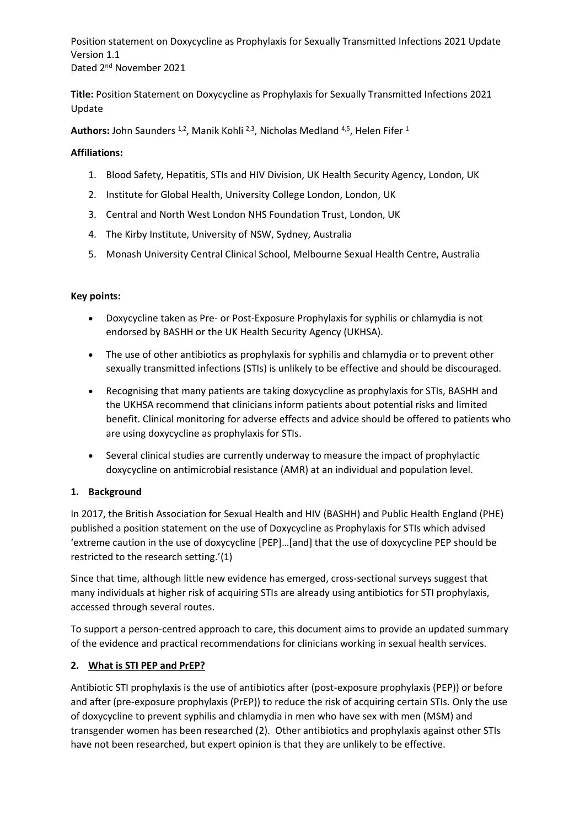**Title:** Position Statement on Doxycycline as Prophylaxis for Sexually Transmitted Infections 2021 Update

Authors: John Saunders <sup>1,2</sup>, Manik Kohli <sup>2,3</sup>, Nicholas Medland <sup>4,5</sup>, Helen Fifer <sup>1</sup>

#### **Affiliations:**

- 1. Blood Safety, Hepatitis, STIs and HIV Division, UK Health Security Agency, London, UK
- 2. Institute for Global Health, University College London, London, UK
- 3. Central and North West London NHS Foundation Trust, London, UK
- 4. The Kirby Institute, University of NSW, Sydney, Australia
- 5. Monash University Central Clinical School, Melbourne Sexual Health Centre, Australia

#### **Key points:**

- Doxycycline taken as Pre- or Post-Exposure Prophylaxis for syphilis or chlamydia is not endorsed by BASHH or the UK Health Security Agency (UKHSA).
- The use of other antibiotics as prophylaxis for syphilis and chlamydia or to prevent other sexually transmitted infections (STIs) is unlikely to be effective and should be discouraged.
- Recognising that many patients are taking doxycycline as prophylaxis for STIs, BASHH and the UKHSA recommend that clinicians inform patients about potential risks and limited benefit. Clinical monitoring for adverse effects and advice should be offered to patients who are using doxycycline as prophylaxis for STIs.
- Several clinical studies are currently underway to measure the impact of prophylactic doxycycline on antimicrobial resistance (AMR) at an individual and population level.

## **1. Background**

In 2017, the British Association for Sexual Health and HIV (BASHH) and Public Health England (PHE) published a position statement on the use of Doxycycline as Prophylaxis for STIs which advised 'extreme caution in the use of doxycycline [PEP]…[and] that the use of doxycycline PEP should be restricted to the research setting.'(1)

Since that time, although little new evidence has emerged, cross-sectional surveys suggest that many individuals at higher risk of acquiring STIs are already using antibiotics for STI prophylaxis, accessed through several routes.

To support a person-centred approach to care, this document aims to provide an updated summary of the evidence and practical recommendations for clinicians working in sexual health services.

## **2. What is STI PEP and PrEP?**

Antibiotic STI prophylaxis is the use of antibiotics after (post-exposure prophylaxis (PEP)) or before and after (pre-exposure prophylaxis (PrEP)) to reduce the risk of acquiring certain STIs. Only the use of doxycycline to prevent syphilis and chlamydia in men who have sex with men (MSM) and transgender women has been researched (2). Other antibiotics and prophylaxis against other STIs have not been researched, but expert opinion is that they are unlikely to be effective.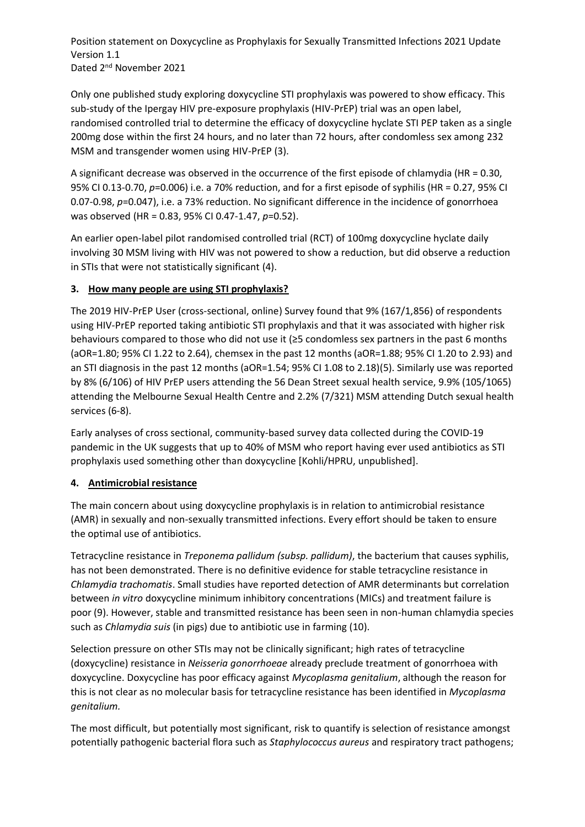Only one published study exploring doxycycline STI prophylaxis was powered to show efficacy. This sub-study of the Ipergay HIV pre-exposure prophylaxis (HIV-PrEP) trial was an open label, randomised controlled trial to determine the efficacy of doxycycline hyclate STI PEP taken as a single 200mg dose within the first 24 hours, and no later than 72 hours, after condomless sex among 232 MSM and transgender women using HIV-PrEP (3).

A significant decrease was observed in the occurrence of the first episode of chlamydia (HR = 0.30, 95% CI 0.13-0.70, *p*=0.006) i.e. a 70% reduction, and for a first episode of syphilis (HR = 0.27, 95% CI 0.07-0.98, *p*=0.047), i.e. a 73% reduction. No significant difference in the incidence of gonorrhoea was observed (HR = 0.83, 95% CI 0.47-1.47, *p*=0.52).

An earlier open-label pilot randomised controlled trial (RCT) of 100mg doxycycline hyclate daily involving 30 MSM living with HIV was not powered to show a reduction, but did observe a reduction in STIs that were not statistically significant (4).

## **3. How many people are using STI prophylaxis?**

The 2019 HIV-PrEP User (cross-sectional, online) Survey found that 9% (167/1,856) of respondents using HIV-PrEP reported taking antibiotic STI prophylaxis and that it was associated with higher risk behaviours compared to those who did not use it (≥5 condomless sex partners in the past 6 months (aOR=1.80; 95% CI 1.22 to 2.64), chemsex in the past 12 months (aOR=1.88; 95% CI 1.20 to 2.93) and an STI diagnosis in the past 12 months (aOR=1.54; 95% CI 1.08 to 2.18)(5). Similarly use was reported by 8% (6/106) of HIV PrEP users attending the 56 Dean Street sexual health service, 9.9% (105/1065) attending the Melbourne Sexual Health Centre and 2.2% (7/321) MSM attending Dutch sexual health services (6-8).

Early analyses of cross sectional, community-based survey data collected during the COVID-19 pandemic in the UK suggests that up to 40% of MSM who report having ever used antibiotics as STI prophylaxis used something other than doxycycline [Kohli/HPRU, unpublished].

## **4. Antimicrobial resistance**

The main concern about using doxycycline prophylaxis is in relation to antimicrobial resistance (AMR) in sexually and non-sexually transmitted infections. Every effort should be taken to ensure the optimal use of antibiotics.

Tetracycline resistance in *Treponema pallidum (subsp. pallidum)*, the bacterium that causes syphilis, has not been demonstrated. There is no definitive evidence for stable tetracycline resistance in *Chlamydia trachomatis*. Small studies have reported detection of AMR determinants but correlation between *in vitro* doxycycline minimum inhibitory concentrations (MICs) and treatment failure is poor (9). However, stable and transmitted resistance has been seen in non-human chlamydia species such as *Chlamydia suis* (in pigs) due to antibiotic use in farming (10).

Selection pressure on other STIs may not be clinically significant; high rates of tetracycline (doxycycline) resistance in *Neisseria gonorrhoeae* already preclude treatment of gonorrhoea with doxycycline. Doxycycline has poor efficacy against *Mycoplasma genitalium*, although the reason for this is not clear as no molecular basis for tetracycline resistance has been identified in *Mycoplasma genitalium.*

The most difficult, but potentially most significant, risk to quantify is selection of resistance amongst potentially pathogenic bacterial flora such as *Staphylococcus aureus* and respiratory tract pathogens;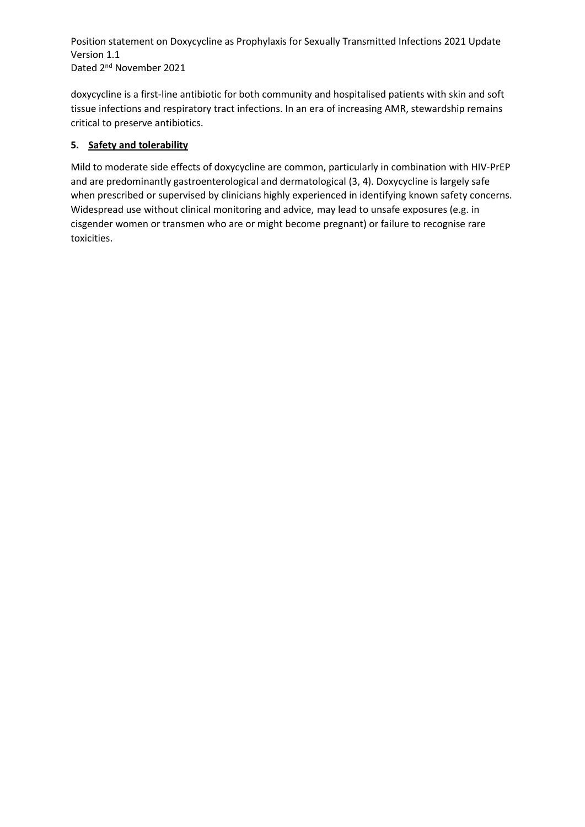doxycycline is a first-line antibiotic for both community and hospitalised patients with skin and soft tissue infections and respiratory tract infections. In an era of increasing AMR, stewardship remains critical to preserve antibiotics.

## **5. Safety and tolerability**

Mild to moderate side effects of doxycycline are common, particularly in combination with HIV-PrEP and are predominantly gastroenterological and dermatological (3, 4). Doxycycline is largely safe when prescribed or supervised by clinicians highly experienced in identifying known safety concerns. Widespread use without clinical monitoring and advice, may lead to unsafe exposures (e.g. in cisgender women or transmen who are or might become pregnant) or failure to recognise rare toxicities.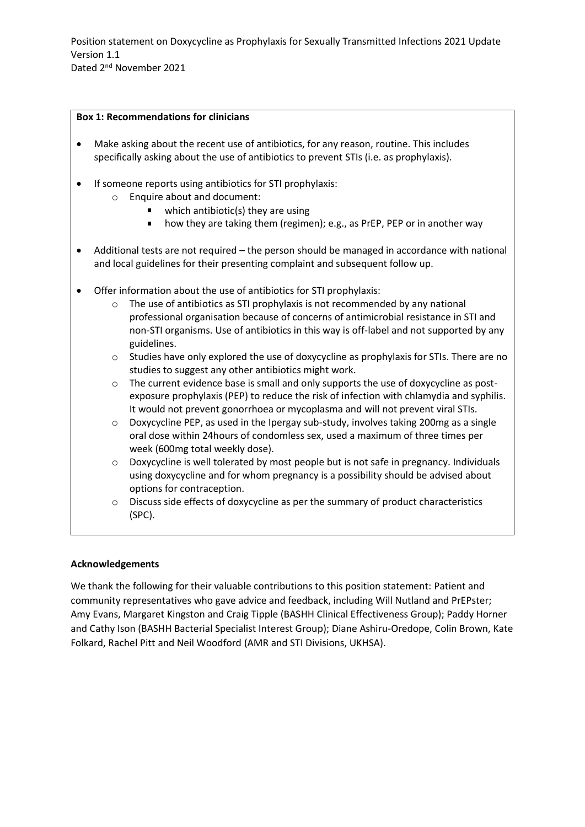#### **Box 1: Recommendations for clinicians**

- Make asking about the recent use of antibiotics, for any reason, routine. This includes specifically asking about the use of antibiotics to prevent STIs (i.e. as prophylaxis).
- If someone reports using antibiotics for STI prophylaxis:
	- o Enquire about and document:
		- $\blacksquare$  which antibiotic(s) they are using
		- how they are taking them (regimen); e.g., as PrEP, PEP or in another way
- Additional tests are not required the person should be managed in accordance with national and local guidelines for their presenting complaint and subsequent follow up.
- Offer information about the use of antibiotics for STI prophylaxis:
	- o The use of antibiotics as STI prophylaxis is not recommended by any national professional organisation because of concerns of antimicrobial resistance in STI and non-STI organisms. Use of antibiotics in this way is off-label and not supported by any guidelines.
	- $\circ$  Studies have only explored the use of doxycycline as prophylaxis for STIs. There are no studies to suggest any other antibiotics might work.
	- $\circ$  The current evidence base is small and only supports the use of doxycycline as postexposure prophylaxis (PEP) to reduce the risk of infection with chlamydia and syphilis. It would not prevent gonorrhoea or mycoplasma and will not prevent viral STIs.
	- $\circ$  Doxycycline PEP, as used in the Ipergay sub-study, involves taking 200mg as a single oral dose within 24hours of condomless sex, used a maximum of three times per week (600mg total weekly dose).
	- $\circ$  Doxycycline is well tolerated by most people but is not safe in pregnancy. Individuals using doxycycline and for whom pregnancy is a possibility should be advised about options for contraception.
	- o Discuss side effects of doxycycline as per the summary of product characteristics (SPC).

## **Acknowledgements**

We thank the following for their valuable contributions to this position statement: Patient and community representatives who gave advice and feedback, including Will Nutland and PrEPster; Amy Evans, Margaret Kingston and Craig Tipple (BASHH Clinical Effectiveness Group); Paddy Horner and Cathy Ison (BASHH Bacterial Specialist Interest Group); Diane Ashiru-Oredope, Colin Brown, Kate Folkard, Rachel Pitt and Neil Woodford (AMR and STI Divisions, UKHSA).